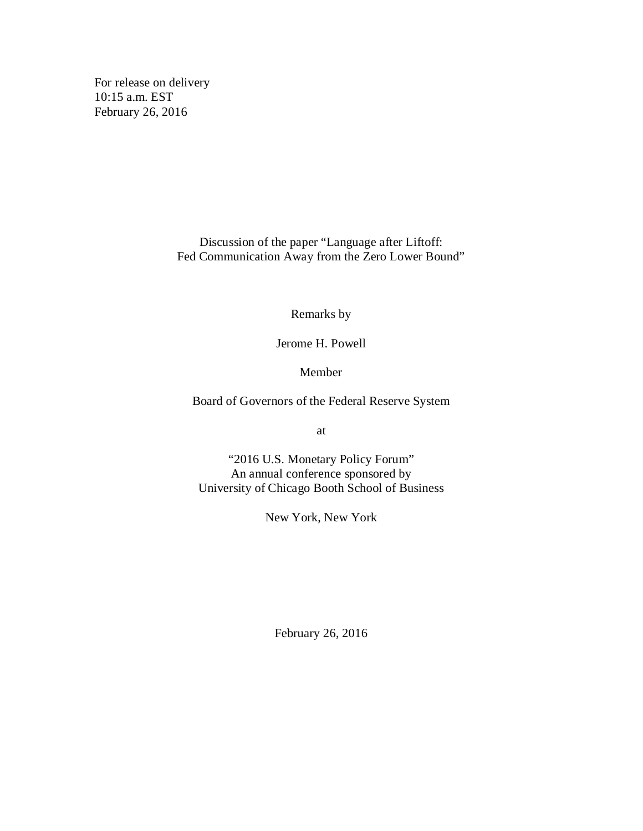For release on delivery 10:15 a.m. EST February 26, 2016

> Discussion of the paper "Language after Liftoff: Fed Communication Away from the Zero Lower Bound"

> > Remarks by

Jerome H. Powell

Member

Board of Governors of the Federal Reserve System

at

"2016 U.S. Monetary Policy Forum" An annual conference sponsored by University of Chicago Booth School of Business

New York, New York

February 26, 2016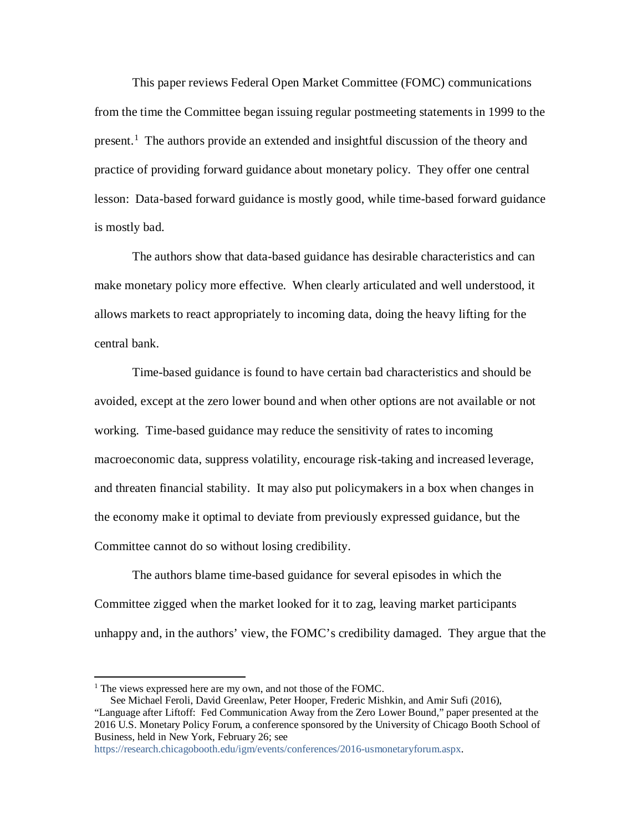This paper reviews Federal Open Market Committee (FOMC) communications from the time the Committee began issuing regular postmeeting statements in 1999 to the present.[1](#page-1-0) The authors provide an extended and insightful discussion of the theory and practice of providing forward guidance about monetary policy. They offer one central lesson: Data-based forward guidance is mostly good, while time-based forward guidance is mostly bad.

The authors show that data-based guidance has desirable characteristics and can make monetary policy more effective. When clearly articulated and well understood, it allows markets to react appropriately to incoming data, doing the heavy lifting for the central bank.

Time-based guidance is found to have certain bad characteristics and should be avoided, except at the zero lower bound and when other options are not available or not working. Time-based guidance may reduce the sensitivity of rates to incoming macroeconomic data, suppress volatility, encourage risk-taking and increased leverage, and threaten financial stability. It may also put policymakers in a box when changes in the economy make it optimal to deviate from previously expressed guidance, but the Committee cannot do so without losing credibility.

The authors blame time-based guidance for several episodes in which the Committee zigged when the market looked for it to zag, leaving market participants unhappy and, in the authors' view, the FOMC's credibility damaged. They argue that the

[https://research.chicagobooth.edu/igm/events/conferences/2016-usmonetaryforum.aspx.](https://research.chicagobooth.edu/igm/events/conferences/2016-usmonetaryforum.aspx)

<span id="page-1-0"></span> $<sup>1</sup>$  The views expressed here are my own, and not those of the FOMC.</sup>

See Michael Feroli, David Greenlaw, Peter Hooper, Frederic Mishkin, and Amir Sufi (2016), "Language after Liftoff: Fed Communication Away from the Zero Lower Bound," paper presented at the 2016 U.S. Monetary Policy Forum, a conference sponsored by the University of Chicago Booth School of Business, held in New York, February 26; see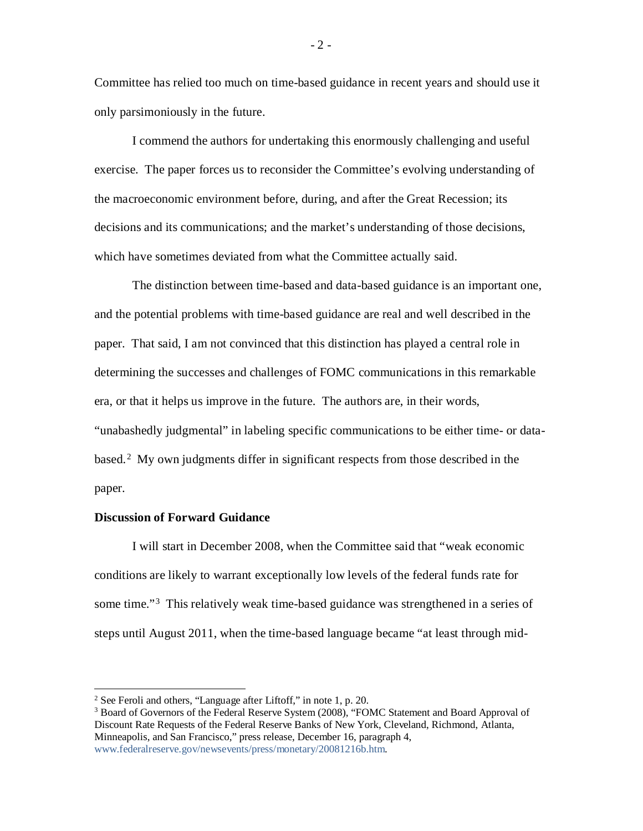Committee has relied too much on time-based guidance in recent years and should use it only parsimoniously in the future.

I commend the authors for undertaking this enormously challenging and useful exercise. The paper forces us to reconsider the Committee's evolving understanding of the macroeconomic environment before, during, and after the Great Recession; its decisions and its communications; and the market's understanding of those decisions, which have sometimes deviated from what the Committee actually said.

The distinction between time-based and data-based guidance is an important one, and the potential problems with time-based guidance are real and well described in the paper. That said, I am not convinced that this distinction has played a central role in determining the successes and challenges of FOMC communications in this remarkable era, or that it helps us improve in the future. The authors are, in their words, "unabashedly judgmental" in labeling specific communications to be either time- or data-based.<sup>[2](#page-2-0)</sup> My own judgments differ in significant respects from those described in the paper.

#### **Discussion of Forward Guidance**

I will start in December 2008, when the Committee said that "weak economic conditions are likely to warrant exceptionally low levels of the federal funds rate for some time."<sup>[3](#page-2-1)</sup> This relatively weak time-based guidance was strengthened in a series of steps until August 2011, when the time-based language became "at least through mid-

 $-2 -$ 

<span id="page-2-0"></span> <sup>2</sup> See Feroli and others, "Language after Liftoff," in note 1, p. 20.

<span id="page-2-1"></span><sup>&</sup>lt;sup>3</sup> Board of Governors of the Federal Reserve System (2008), "FOMC Statement and Board Approval of Discount Rate Requests of the Federal Reserve Banks of New York, Cleveland, Richmond, Atlanta, Minneapolis, and San Francisco," press release, December 16, paragraph 4, [www.federalreserve.gov/newsevents/press/monetary/20081216b.htm.](http://www.federalreserve.gov/newsevents/press/monetary/20081216b.htm)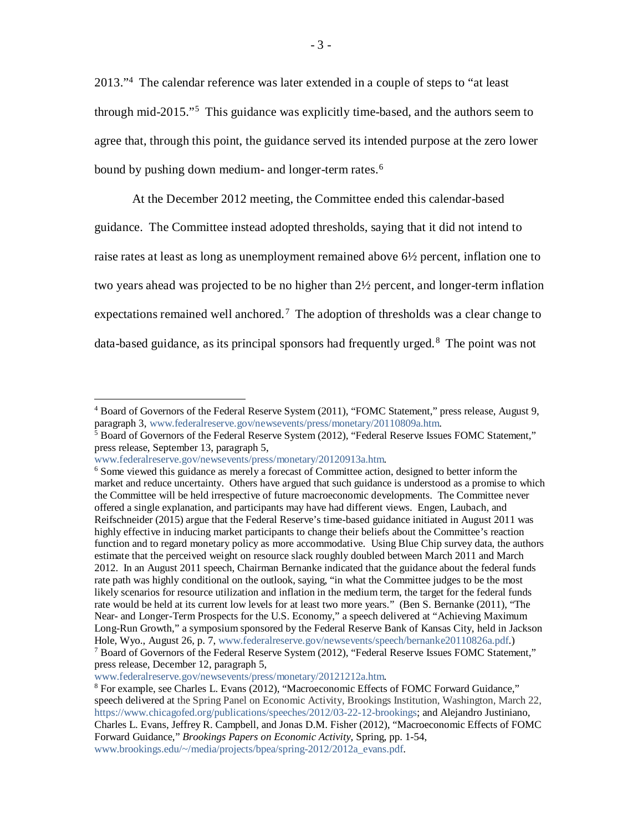2013."[4](#page-3-0) The calendar reference was later extended in a couple of steps to "at least through mid-2015."[5](#page-3-1) This guidance was explicitly time-based, and the authors seem to agree that, through this point, the guidance served its intended purpose at the zero lower bound by pushing down medium- and longer-term rates.<sup>[6](#page-3-2)</sup>

At the December 2012 meeting, the Committee ended this calendar-based guidance. The Committee instead adopted thresholds, saying that it did not intend to raise rates at least as long as unemployment remained above 6½ percent, inflation one to two years ahead was projected to be no higher than 2½ percent, and longer-term inflation expectations remained well anchored.<sup>7</sup> The adoption of thresholds was a clear change to data-based guidance, as its principal sponsors had frequently urged. [8](#page-3-4) The point was not

<span id="page-3-0"></span> <sup>4</sup> Board of Governors of the Federal Reserve System (2011), "FOMC Statement," press release, August 9, paragraph 3, [www.federalreserve.gov/newsevents/press/monetary/20110809a.htm.](http://www.federalreserve.gov/newsevents/press/monetary/20110809a.htm)

<span id="page-3-1"></span> $<sup>5</sup>$  Board of Governors of the Federal Reserve System (2012), "Federal Reserve Issues FOMC Statement,"</sup> press release, September 13, paragraph 5,

[www.federalreserve.gov/newsevents/press/monetary/20120913a.htm.](http://www.federalreserve.gov/newsevents/press/monetary/20120913a.htm)

<span id="page-3-2"></span><sup>&</sup>lt;sup>6</sup> Some viewed this guidance as merely a forecast of Committee action, designed to better inform the market and reduce uncertainty. Others have argued that such guidance is understood as a promise to which the Committee will be held irrespective of future macroeconomic developments. The Committee never offered a single explanation, and participants may have had different views. Engen, Laubach, and Reifschneider (2015) argue that the Federal Reserve's time-based guidance initiated in August 2011 was highly effective in inducing market participants to change their beliefs about the Committee's reaction function and to regard monetary policy as more accommodative. Using Blue Chip survey data, the authors estimate that the perceived weight on resource slack roughly doubled between March 2011 and March 2012. In an August 2011 speech, Chairman Bernanke indicated that the guidance about the federal funds rate path was highly conditional on the outlook, saying, "in what the Committee judges to be the most likely scenarios for resource utilization and inflation in the medium term, the target for the federal funds rate would be held at its current low levels for at least two more years." (Ben S. Bernanke (2011), "The Near- and Longer-Term Prospects for the U.S. Economy," a speech delivered at "Achieving Maximum Long-Run Growth," a symposium sponsored by the Federal Reserve Bank of Kansas City, held in Jackson Hole, Wyo., August 26, p. 7, [www.federalreserve.gov/newsevents/speech/bernanke20110826a.pdf.](http://www.federalreserve.gov/newsevents/speech/bernanke20110826a.pdf)) <sup>7</sup> Board of Governors of the Federal Reserve System (2012), "Federal Reserve Issues FOMC Statement," press release, December 12, paragraph 5,

<span id="page-3-3"></span>[www.federalreserve.gov/newsevents/press/monetary/20121212a.htm.](http://www.federalreserve.gov/newsevents/press/monetary/20121212a.htm)

<span id="page-3-4"></span><sup>8</sup> For example, see Charles L. Evans (2012), "Macroeconomic Effects of FOMC Forward Guidance," speech delivered at the Spring Panel on Economic Activity, Brookings Institution, Washington, March 22, [https://www.chicagofed.org/publications/speeches/2012/03-22-12-brookings;](https://www.chicagofed.org/publications/speeches/2012/03-22-12-brookings) and Alejandro Justiniano, Charles L. Evans, Jeffrey R. Campbell, and Jonas D.M. Fisher (2012), "Macroeconomic Effects of FOMC Forward Guidance," *Brookings Papers on Economic Activity,* Spring, pp. 1-54, [www.brookings.edu/~/media/projects/bpea/spring-2012/2012a\\_evans.pdf.](http://www.brookings.edu/%7E/media/projects/bpea/spring-2012/2012a_evans.pdf)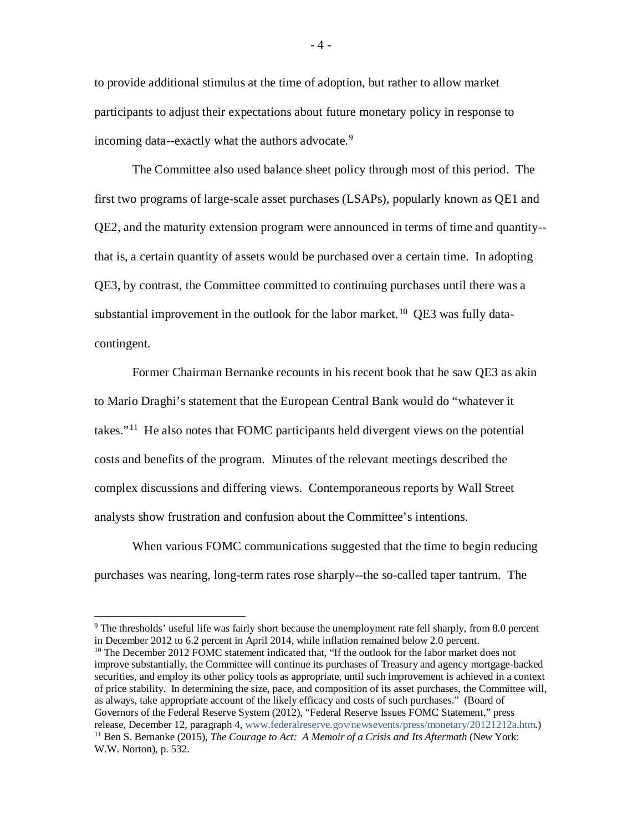to provide additional stimulus at the time of adoption, but rather to allow market participants to adjust their expectations about future monetary policy in response to incoming data--exactly what the authors advocate.<sup>[9](#page-4-0)</sup>

The Committee also used balance sheet policy through most of this period. The first two programs of large-scale asset purchases (LSAPs), popularly known as QE1 and QE2, and the maturity extension program were announced in terms of time and quantity- that is, a certain quantity of assets would be purchased over a certain time. In adopting QE3, by contrast, the Committee committed to continuing purchases until there was a substantial improvement in the outlook for the labor market.<sup>[10](#page-4-1)</sup> QE3 was fully datacontingent.

Former Chairman Bernanke recounts in his recent book that he saw QE3 as akin to Mario Draghi's statement that the European Central Bank would do "whatever it takes."[11](#page-4-2) He also notes that FOMC participants held divergent views on the potential costs and benefits of the program. Minutes of the relevant meetings described the complex discussions and differing views. Contemporaneous reports by Wall Street analysts show frustration and confusion about the Committee's intentions.

When various FOMC communications suggested that the time to begin reducing purchases was nearing, long-term rates rose sharply--the so-called taper tantrum. The

<span id="page-4-2"></span><span id="page-4-1"></span><sup>10</sup> The December 2012 FOMC statement indicated that, "If the outlook for the labor market does not improve substantially, the Committee will continue its purchases of Treasury and agency mortgage-backed securities, and employ its other policy tools as appropriate, until such improvement is achieved in a context of price stability. In determining the size, pace, and composition of its asset purchases, the Committee will, as always, take appropriate account of the likely efficacy and costs of such purchases." (Board of Governors of the Federal Reserve System (2012), "Federal Reserve Issues FOMC Statement," press release, December 12, paragraph 4, [www.federalreserve.gov/newsevents/press/monetary/20121212a.htm.](http://www.federalreserve.gov/newsevents/press/monetary/20121212a.htm)) <sup>11</sup> Ben S. Bernanke (2015), *The Courage to Act: A Memoir of a Crisis and Its Aftermath* (New York: W.W. Norton), p. 532.

<span id="page-4-0"></span><sup>&</sup>lt;sup>9</sup> The thresholds' useful life was fairly short because the unemployment rate fell sharply, from 8.0 percent in December 2012 to 6.2 percent in April 2014, while inflation remained below 2.0 percent.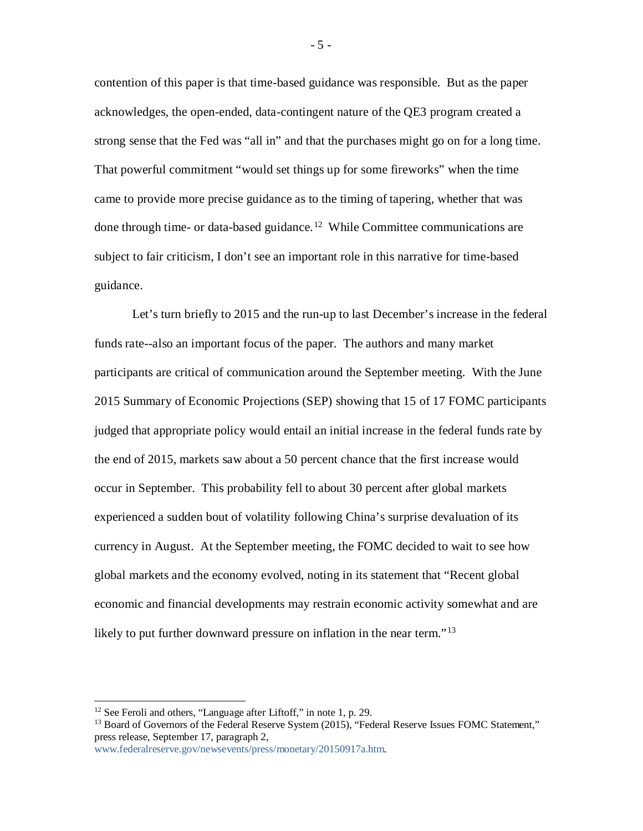contention of this paper is that time-based guidance was responsible. But as the paper acknowledges, the open-ended, data-contingent nature of the QE3 program created a strong sense that the Fed was "all in" and that the purchases might go on for a long time. That powerful commitment "would set things up for some fireworks" when the time came to provide more precise guidance as to the timing of tapering, whether that was done through time- or data-based guidance.<sup>[12](#page-5-0)</sup> While Committee communications are subject to fair criticism, I don't see an important role in this narrative for time-based guidance.

Let's turn briefly to 2015 and the run-up to last December's increase in the federal funds rate--also an important focus of the paper. The authors and many market participants are critical of communication around the September meeting. With the June 2015 Summary of Economic Projections (SEP) showing that 15 of 17 FOMC participants judged that appropriate policy would entail an initial increase in the federal funds rate by the end of 2015, markets saw about a 50 percent chance that the first increase would occur in September. This probability fell to about 30 percent after global markets experienced a sudden bout of volatility following China's surprise devaluation of its currency in August. At the September meeting, the FOMC decided to wait to see how global markets and the economy evolved, noting in its statement that "Recent global economic and financial developments may restrain economic activity somewhat and are likely to put further downward pressure on inflation in the near term."<sup>[13](#page-5-1)</sup>

<span id="page-5-1"></span><span id="page-5-0"></span><sup>&</sup>lt;sup>12</sup> See Feroli and others, "Language after Liftoff," in note 1, p. 29.<br><sup>13</sup> Board of Governors of the Federal Reserve System (2015), "Federal Reserve Issues FOMC Statement," press release, September 17, paragraph 2,

[www.federalreserve.gov/newsevents/press/monetary/20150917a.htm.](http://www.federalreserve.gov/newsevents/press/monetary/20150917a.htm)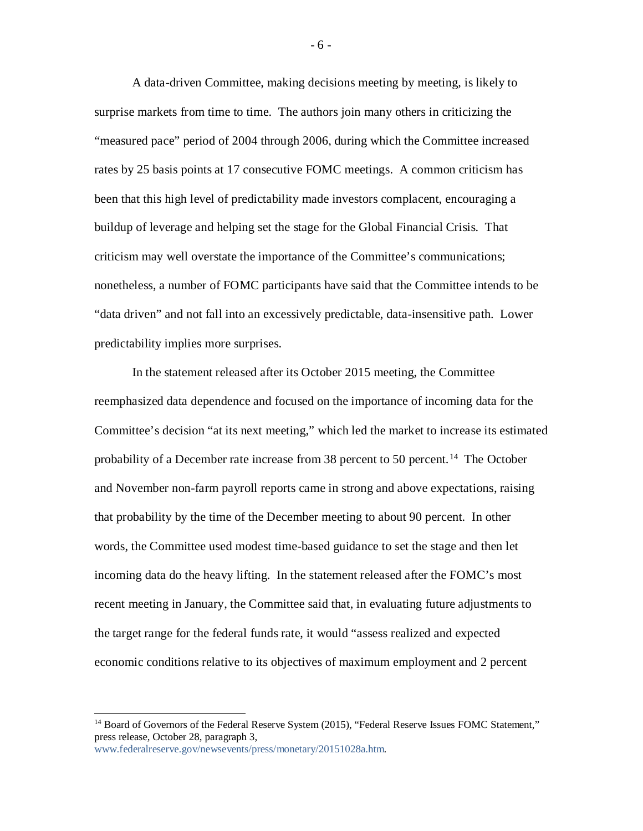A data-driven Committee, making decisions meeting by meeting, is likely to surprise markets from time to time. The authors join many others in criticizing the "measured pace" period of 2004 through 2006, during which the Committee increased rates by 25 basis points at 17 consecutive FOMC meetings. A common criticism has been that this high level of predictability made investors complacent, encouraging a buildup of leverage and helping set the stage for the Global Financial Crisis. That criticism may well overstate the importance of the Committee's communications; nonetheless, a number of FOMC participants have said that the Committee intends to be "data driven" and not fall into an excessively predictable, data-insensitive path. Lower predictability implies more surprises.

In the statement released after its October 2015 meeting, the Committee reemphasized data dependence and focused on the importance of incoming data for the Committee's decision "at its next meeting," which led the market to increase its estimated probability of a December rate increase from 38 percent to 50 percent. [14](#page-6-0) The October and November non-farm payroll reports came in strong and above expectations, raising that probability by the time of the December meeting to about 90 percent. In other words, the Committee used modest time-based guidance to set the stage and then let incoming data do the heavy lifting. In the statement released after the FOMC's most recent meeting in January, the Committee said that, in evaluating future adjustments to the target range for the federal funds rate, it would "assess realized and expected economic conditions relative to its objectives of maximum employment and 2 percent

[www.federalreserve.gov/newsevents/press/monetary/20151028a.htm.](http://www.federalreserve.gov/newsevents/press/monetary/20151028a.htm) 

- 6 -

<span id="page-6-0"></span><sup>&</sup>lt;sup>14</sup> Board of Governors of the Federal Reserve System (2015), "Federal Reserve Issues FOMC Statement," press release, October 28, paragraph 3,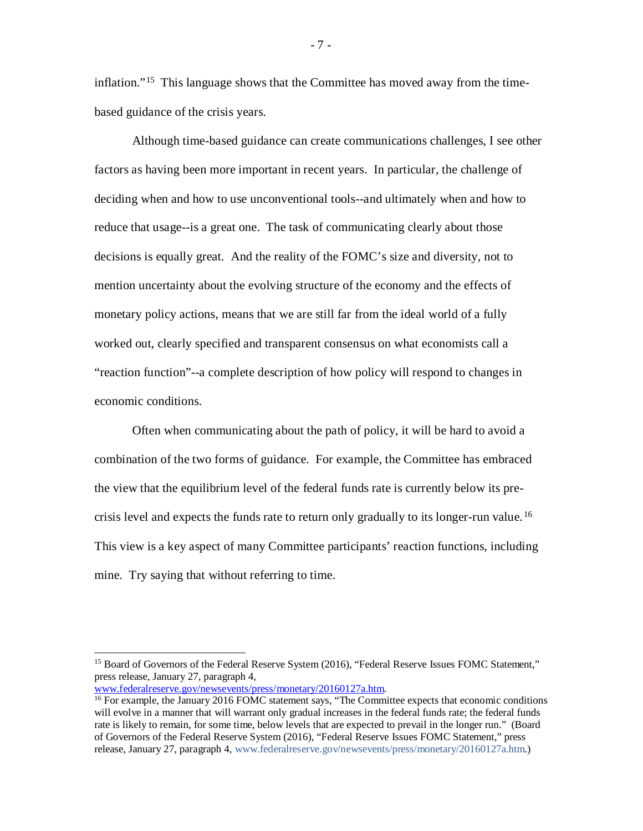inflation."[15](#page-7-0) This language shows that the Committee has moved away from the timebased guidance of the crisis years.

Although time-based guidance can create communications challenges, I see other factors as having been more important in recent years. In particular, the challenge of deciding when and how to use unconventional tools--and ultimately when and how to reduce that usage--is a great one. The task of communicating clearly about those decisions is equally great. And the reality of the FOMC's size and diversity, not to mention uncertainty about the evolving structure of the economy and the effects of monetary policy actions, means that we are still far from the ideal world of a fully worked out, clearly specified and transparent consensus on what economists call a "reaction function"--a complete description of how policy will respond to changes in economic conditions.

Often when communicating about the path of policy, it will be hard to avoid a combination of the two forms of guidance. For example, the Committee has embraced the view that the equilibrium level of the federal funds rate is currently below its precrisis level and expects the funds rate to return only gradually to its longer-run value.<sup>16</sup> This view is a key aspect of many Committee participants' reaction functions, including mine. Try saying that without referring to time.

- 7 -

<span id="page-7-0"></span><sup>&</sup>lt;sup>15</sup> Board of Governors of the Federal Reserve System (2016), "Federal Reserve Issues FOMC Statement," press release, January 27, paragraph 4,<br>www.federalreserve.gov/newsevents/press/monetary/20160127a.htm.

<span id="page-7-1"></span> $^{16}$  For example, the January 2016 FOMC statement says, "The Committee expects that economic conditions will evolve in a manner that will warrant only gradual increases in the federal funds rate; the federal funds rate is likely to remain, for some time, below levels that are expected to prevail in the longer run." (Board of Governors of the Federal Reserve System (2016), "Federal Reserve Issues FOMC Statement," press release, January 27, paragraph 4, [www.federalreserve.gov/newsevents/press/monetary/20160127a.htm.](http://www.federalreserve.gov/newsevents/press/monetary/20160127a.htm))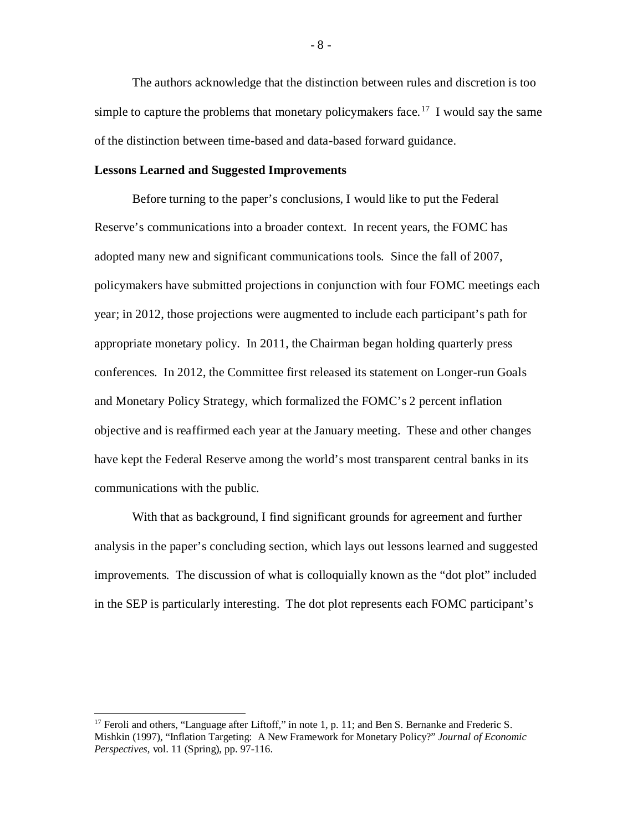The authors acknowledge that the distinction between rules and discretion is too simple to capture the problems that monetary policymakers face.<sup>[17](#page-8-0)</sup> I would say the same of the distinction between time-based and data-based forward guidance.

#### **Lessons Learned and Suggested Improvements**

Before turning to the paper's conclusions, I would like to put the Federal Reserve's communications into a broader context. In recent years, the FOMC has adopted many new and significant communications tools. Since the fall of 2007, policymakers have submitted projections in conjunction with four FOMC meetings each year; in 2012, those projections were augmented to include each participant's path for appropriate monetary policy. In 2011, the Chairman began holding quarterly press conferences. In 2012, the Committee first released its statement on Longer-run Goals and Monetary Policy Strategy, which formalized the FOMC's 2 percent inflation objective and is reaffirmed each year at the January meeting. These and other changes have kept the Federal Reserve among the world's most transparent central banks in its communications with the public.

With that as background, I find significant grounds for agreement and further analysis in the paper's concluding section, which lays out lessons learned and suggested improvements. The discussion of what is colloquially known as the "dot plot" included in the SEP is particularly interesting. The dot plot represents each FOMC participant's

<span id="page-8-0"></span><sup>&</sup>lt;sup>17</sup> Feroli and others, "Language after Liftoff," in note 1, p. 11; and Ben S. Bernanke and Frederic S. Mishkin (1997), "Inflation Targeting: A New Framework for Monetary Policy?" *Journal of Economic Perspectives,* vol. 11 (Spring), pp. 97-116.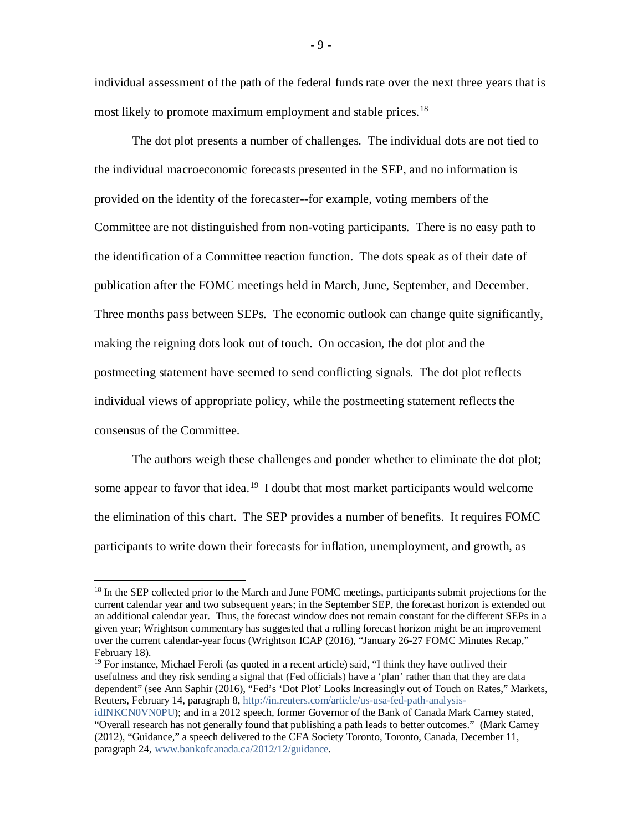individual assessment of the path of the federal funds rate over the next three years that is most likely to promote maximum employment and stable prices.<sup>[18](#page-9-0)</sup>

The dot plot presents a number of challenges. The individual dots are not tied to the individual macroeconomic forecasts presented in the SEP, and no information is provided on the identity of the forecaster--for example, voting members of the Committee are not distinguished from non-voting participants. There is no easy path to the identification of a Committee reaction function. The dots speak as of their date of publication after the FOMC meetings held in March, June, September, and December. Three months pass between SEPs. The economic outlook can change quite significantly, making the reigning dots look out of touch. On occasion, the dot plot and the postmeeting statement have seemed to send conflicting signals. The dot plot reflects individual views of appropriate policy, while the postmeeting statement reflects the consensus of the Committee.

The authors weigh these challenges and ponder whether to eliminate the dot plot; some appear to favor that idea.<sup>[19](#page-9-1)</sup> I doubt that most market participants would welcome the elimination of this chart. The SEP provides a number of benefits. It requires FOMC participants to write down their forecasts for inflation, unemployment, and growth, as

<span id="page-9-0"></span><sup>&</sup>lt;sup>18</sup> In the SEP collected prior to the March and June FOMC meetings, participants submit projections for the current calendar year and two subsequent years; in the September SEP, the forecast horizon is extended out an additional calendar year. Thus, the forecast window does not remain constant for the different SEPs in a given year; Wrightson commentary has suggested that a rolling forecast horizon might be an improvement over the current calendar-year focus (Wrightson ICAP (2016), "January 26-27 FOMC Minutes Recap," February 18).

<span id="page-9-1"></span><sup>&</sup>lt;sup>19</sup> For instance, Michael Feroli (as quoted in a recent article) said, "I think they have outlived their usefulness and they risk sending a signal that (Fed officials) have a 'plan' rather than that they are data dependent" (see Ann Saphir (2016), "Fed's 'Dot Plot' Looks Increasingly out of Touch on Rates," Markets, Reuters, February 14, paragraph 8, [http://in.reuters.com/article/us-usa-fed-path-analysis-](http://in.reuters.com/article/us-usa-fed-path-analysis-idINKCN0VN0PU)

[idINKCN0VN0PU\)](http://in.reuters.com/article/us-usa-fed-path-analysis-idINKCN0VN0PU); and in a 2012 speech, former Governor of the Bank of Canada Mark Carney stated, "Overall research has not generally found that publishing a path leads to better outcomes." (Mark Carney (2012), "Guidance," a speech delivered to the CFA Society Toronto, Toronto, Canada, December 11, paragraph 24, [www.bankofcanada.ca/2012/12/guidance.](http://www.bankofcanada.ca/2012/12/guidance)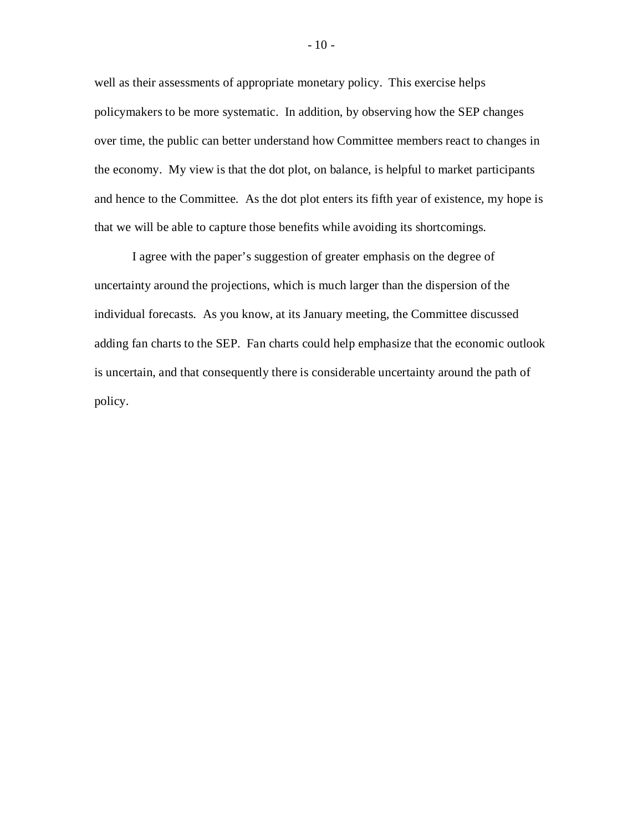well as their assessments of appropriate monetary policy. This exercise helps policymakers to be more systematic. In addition, by observing how the SEP changes over time, the public can better understand how Committee members react to changes in the economy. My view is that the dot plot, on balance, is helpful to market participants and hence to the Committee. As the dot plot enters its fifth year of existence, my hope is that we will be able to capture those benefits while avoiding its shortcomings.

I agree with the paper's suggestion of greater emphasis on the degree of uncertainty around the projections, which is much larger than the dispersion of the individual forecasts. As you know, at its January meeting, the Committee discussed adding fan charts to the SEP. Fan charts could help emphasize that the economic outlook is uncertain, and that consequently there is considerable uncertainty around the path of policy.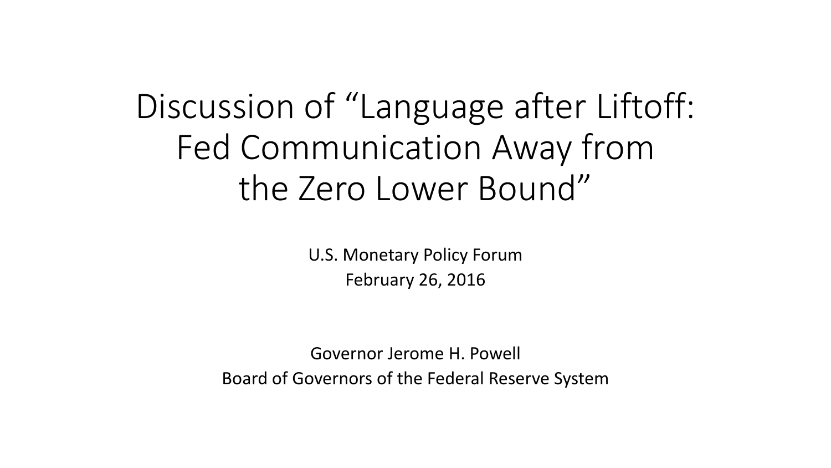Discussion of "Language after Liftoff: Fed Communication Away from the Zero Lower Bound"

> U.S. Monetary Policy Forum February 26, 2016

Governor Jerome H. Powell Board of Governors of the Federal Reserve System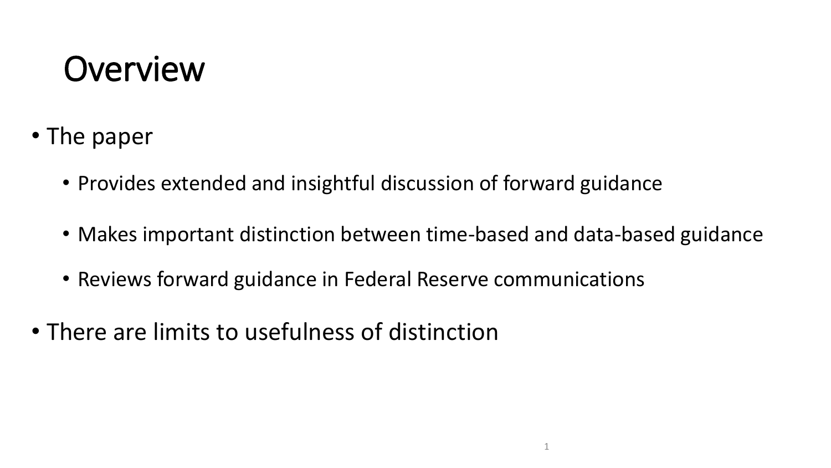#### **Overview**

- The paper
	- Provides extended and insightful discussion of forward guidance
	- Makes important distinction between time-based and data-based guidance
	- Reviews forward guidance in Federal Reserve communications
- There are limits to usefulness of distinction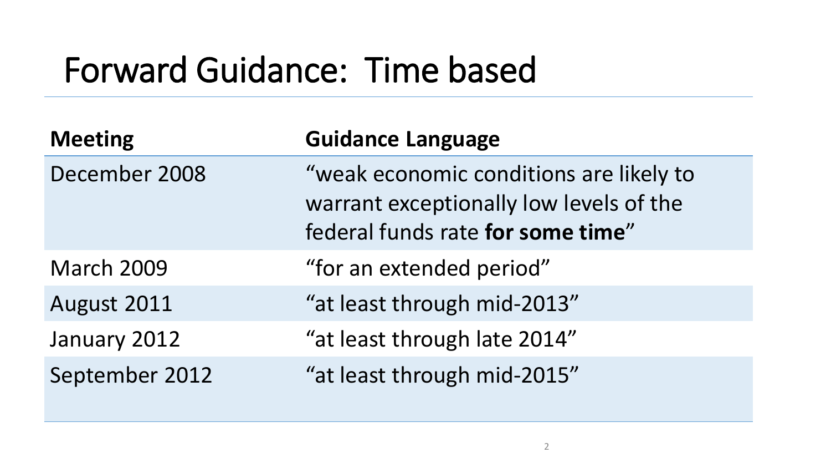#### Forward Guidance: Time based

| <b>Meeting</b>    | <b>Guidance Language</b>                                                                                                |
|-------------------|-------------------------------------------------------------------------------------------------------------------------|
| December 2008     | "weak economic conditions are likely to<br>warrant exceptionally low levels of the<br>federal funds rate for some time" |
| <b>March 2009</b> | "for an extended period"                                                                                                |
| August 2011       | "at least through mid-2013"                                                                                             |
| January 2012      | "at least through late 2014"                                                                                            |
| September 2012    | "at least through mid-2015"                                                                                             |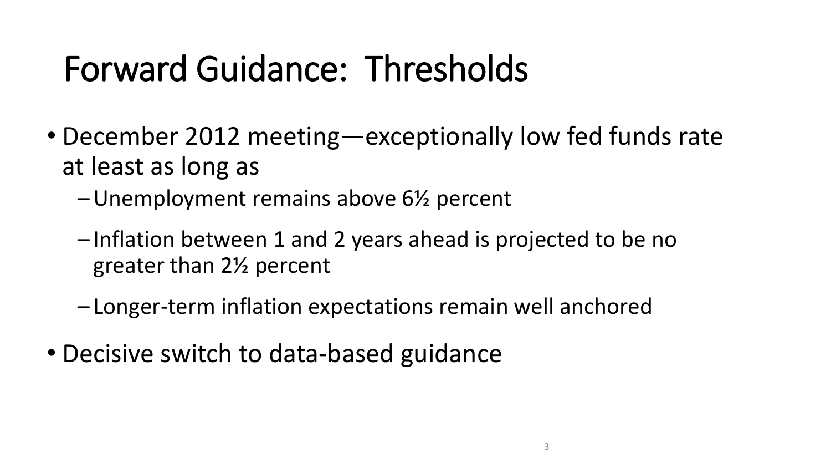## Forward Guidance: Thresholds

- December 2012 meeting—exceptionally low fed funds rate at least as long as
	- –Unemployment remains above 6½ percent
	- Inflation between 1 and 2 years ahead is projected to be no greater than 2½ percent
	- Longer-term inflation expectations remain well anchored
- Decisive switch to data-based guidance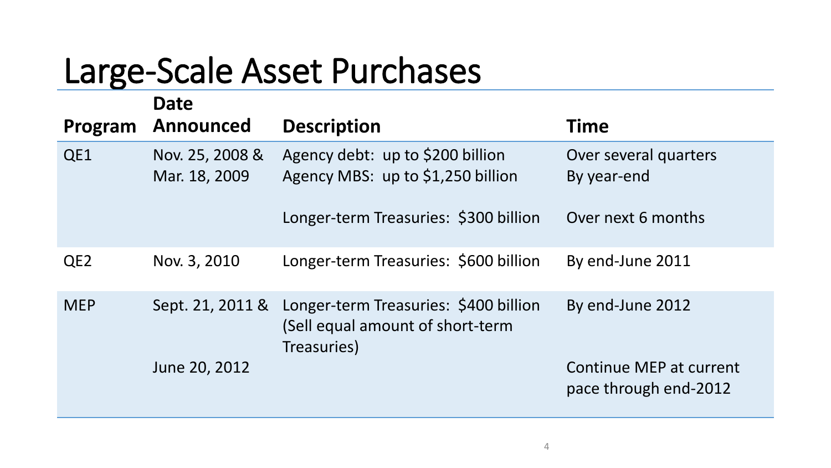#### Large-Scale Asset Purchases

|                 | <b>Date</b>                      |                                                                                                           |                                                  |
|-----------------|----------------------------------|-----------------------------------------------------------------------------------------------------------|--------------------------------------------------|
| Program         | <b>Announced</b>                 | <b>Description</b>                                                                                        | <b>Time</b>                                      |
| QE1             | Nov. 25, 2008 &<br>Mar. 18, 2009 | Agency debt: up to \$200 billion<br>Agency MBS: up to \$1,250 billion                                     | Over several quarters<br>By year-end             |
|                 |                                  | Longer-term Treasuries: \$300 billion                                                                     | Over next 6 months                               |
| QE <sub>2</sub> | Nov. 3, 2010                     | Longer-term Treasuries: \$600 billion                                                                     | By end-June 2011                                 |
| <b>MEP</b>      |                                  | Sept. 21, 2011 & Longer-term Treasuries: \$400 billion<br>(Sell equal amount of short-term<br>Treasuries) | By end-June 2012                                 |
|                 | June 20, 2012                    |                                                                                                           | Continue MEP at current<br>pace through end-2012 |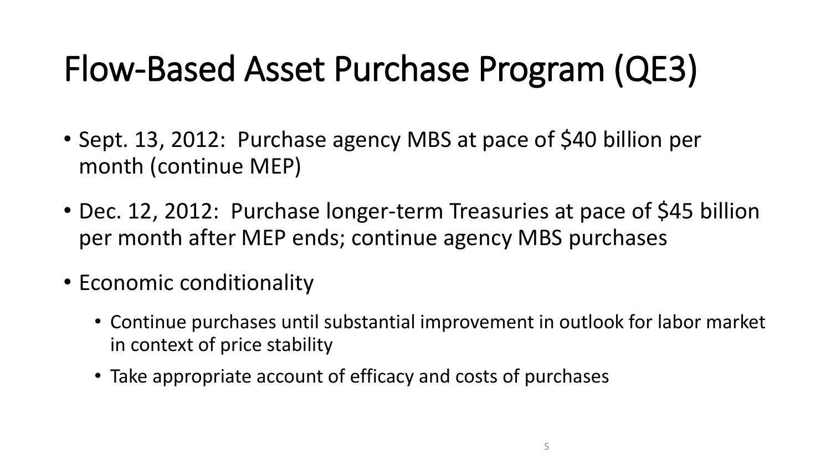## Flow-Based Asset Purchase Program (QE3)

- Sept. 13, 2012: Purchase agency MBS at pace of \$40 billion per month (continue MEP)
- Dec. 12, 2012: Purchase longer-term Treasuries at pace of \$45 billion per month after MEP ends; continue agency MBS purchases
- Economic conditionality
	- Continue purchases until substantial improvement in outlook for labor market in context of price stability
	- Take appropriate account of efficacy and costs of purchases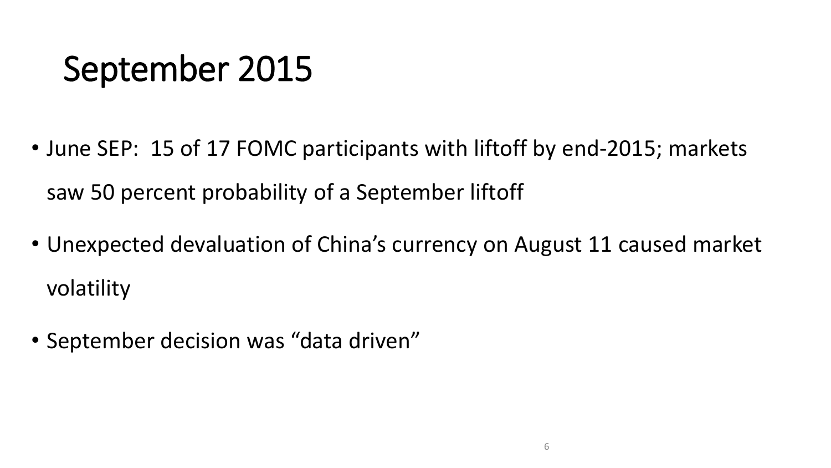## September 2015

- June SEP: 15 of 17 FOMC participants with liftoff by end-2015; markets saw 50 percent probability of a September liftoff
- Unexpected devaluation of China's currency on August 11 caused market volatility
- September decision was "data driven"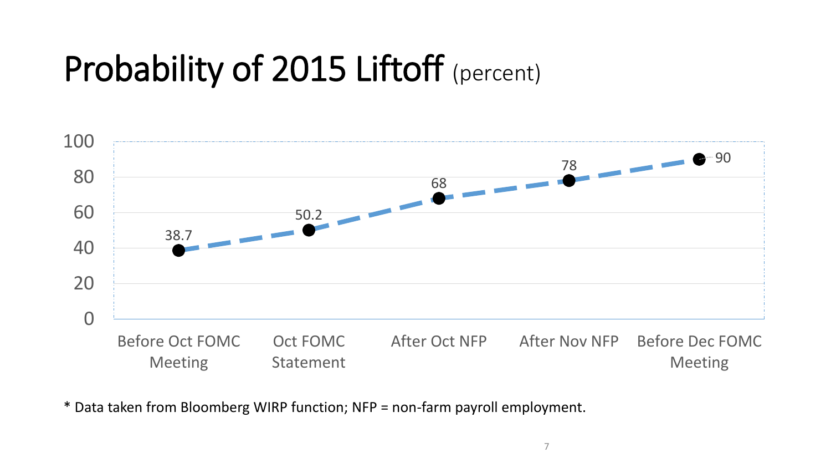## Probability of 2015 Liftoff (percent)



\* Data taken from Bloomberg WIRP function; NFP = non-farm payroll employment.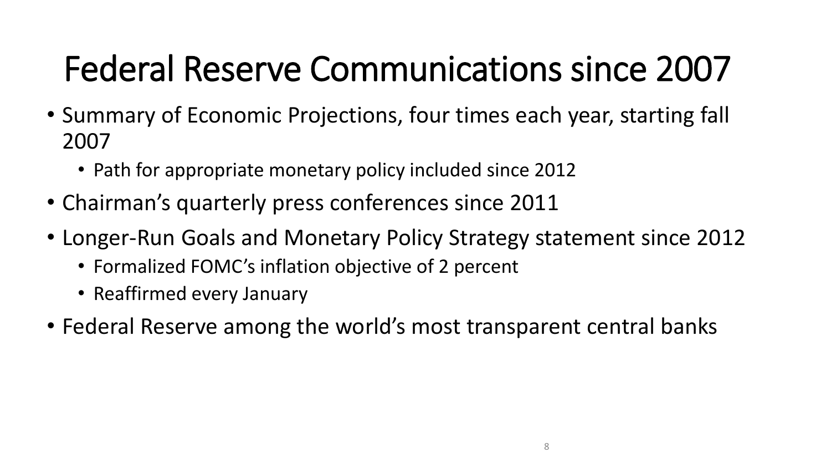# Federal Reserve Communications since 2007

- Summary of Economic Projections, four times each year, starting fall 2007
	- Path for appropriate monetary policy included since 2012
- Chairman's quarterly press conferences since 2011
- Longer-Run Goals and Monetary Policy Strategy statement since 2012
	- Formalized FOMC's inflation objective of 2 percent
	- Reaffirmed every January
- Federal Reserve among the world's most transparent central banks